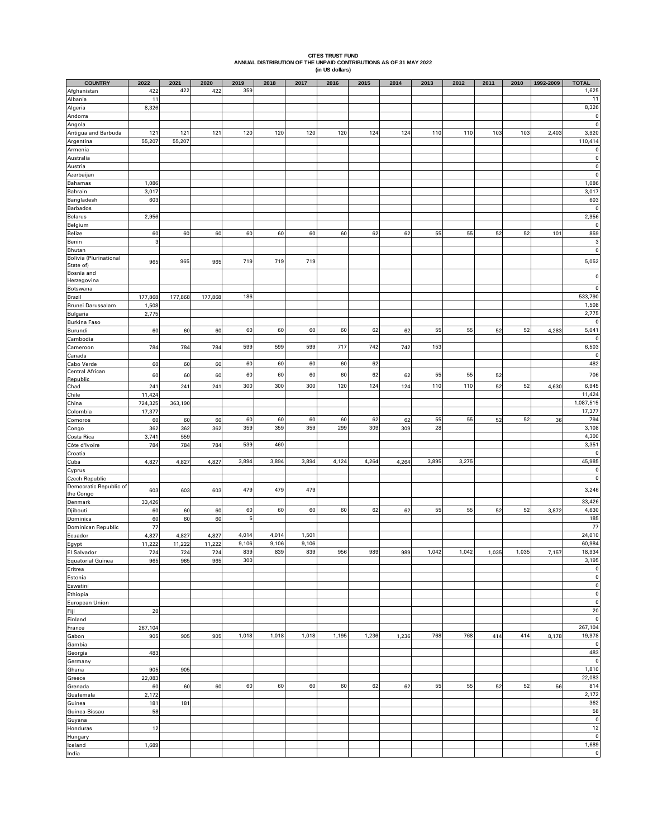| <b>COUNTRY</b>                          | 2022       | 2021       | 2020       | 2019        | 2018  | 2017  | 2016  | 2015  | 2014  | 2013  | 2012  | 2011  | 2010  | 1992-2009 | <b>TOTAL</b>       |
|-----------------------------------------|------------|------------|------------|-------------|-------|-------|-------|-------|-------|-------|-------|-------|-------|-----------|--------------------|
| Afghanistan                             | 422        | 422        | 422        | 359         |       |       |       |       |       |       |       |       |       |           | 1,625              |
| Albania                                 | 11         |            |            |             |       |       |       |       |       |       |       |       |       |           | 11                 |
| Algeria                                 | 8,326      |            |            |             |       |       |       |       |       |       |       |       |       |           | 8,326              |
| Andorra                                 |            |            |            |             |       |       |       |       |       |       |       |       |       |           | 0                  |
| Angola                                  |            |            |            |             |       |       |       |       |       |       |       |       |       |           | $\mathbf 0$        |
| Antigua and Barbuda                     | 121        | 121        | 121        | 120         | 120   | 120   | 120   | 124   | 124   | 110   | 110   | 103   | 103   | 2,403     | 3,920              |
| Argentina                               | 55,207     | 55,207     |            |             |       |       |       |       |       |       |       |       |       |           | 110,414            |
| Armenia                                 |            |            |            |             |       |       |       |       |       |       |       |       |       |           | $\pmb{0}$          |
| Australia                               |            |            |            |             |       |       |       |       |       |       |       |       |       |           | $\pmb{0}$          |
| Austria                                 |            |            |            |             |       |       |       |       |       |       |       |       |       |           | $\mathbf 0$        |
| Azerbaijan                              |            |            |            |             |       |       |       |       |       |       |       |       |       |           | $\mathbf 0$        |
| Bahamas                                 | 1,086      |            |            |             |       |       |       |       |       |       |       |       |       |           | 1,086              |
| Bahrain                                 | 3,017      |            |            |             |       |       |       |       |       |       |       |       |       |           | 3,017              |
| Bangladesh                              | 603        |            |            |             |       |       |       |       |       |       |       |       |       |           | 603                |
| <b>Barbados</b>                         |            |            |            |             |       |       |       |       |       |       |       |       |       |           | 0                  |
| <b>Belarus</b>                          | 2,956      |            |            |             |       |       |       |       |       |       |       |       |       |           | 2,956              |
| Belgium                                 |            |            |            |             |       |       |       |       |       |       |       |       |       |           | 0                  |
| Belize                                  | 60         | 60         | 60         | 60          | 60    | 60    | 60    | 62    | 62    | 55    | 55    | 52    | 52    | 101       | 859                |
| Benin                                   | 3          |            |            |             |       |       |       |       |       |       |       |       |       |           | 3                  |
| Bhutan                                  |            |            |            |             |       |       |       |       |       |       |       |       |       |           | $\pmb{0}$          |
| Bolivia (Plurinational<br>State of)     | 965        | 965        | 965        | 719         | 719   | 719   |       |       |       |       |       |       |       |           | 5,052              |
| Bosnia and                              |            |            |            |             |       |       |       |       |       |       |       |       |       |           |                    |
| Herzegovina                             |            |            |            |             |       |       |       |       |       |       |       |       |       |           | $\pmb{0}$          |
| Botswana                                |            |            |            |             |       |       |       |       |       |       |       |       |       |           | $\pmb{0}$          |
| Brazil                                  | 177,868    | 177,868    | 177,868    | 186         |       |       |       |       |       |       |       |       |       |           | 533,790            |
| Brunei Darussalam                       | 1,508      |            |            |             |       |       |       |       |       |       |       |       |       |           | 1,508              |
| Bulgaria                                | 2,775      |            |            |             |       |       |       |       |       |       |       |       |       |           | 2,775              |
| <b>Burkina Faso</b>                     |            |            |            |             |       |       |       |       |       |       |       |       |       |           | 0                  |
| Burundi                                 | 60         | 60         | 60         | 60          | 60    | 60    | 60    | 62    | 62    | 55    | 55    | 52    | 52    | 4,283     | 5,041              |
| Cambodia                                |            |            |            |             |       |       |       |       |       |       |       |       |       |           | $\mathbf 0$        |
| Cameroon                                | 784        | 784        | 784        | 599         | 599   | 599   | 717   | 742   | 742   | 153   |       |       |       |           | 6,503              |
| Canada                                  |            |            |            |             |       |       |       |       |       |       |       |       |       |           | 0                  |
| Cabo Verde                              | 60         | 60         | 60         | 60          | 60    | 60    | 60    | 62    |       |       |       |       |       |           | 482                |
| Central African                         | 60         | 60         | 60         | 60          | 60    | 60    | 60    | 62    | 62    | 55    | 55    | 52    |       |           | 706                |
| Republic<br>Chad                        | 241        | 241        | 241        | 300         | 300   | 300   | 120   | 124   | 124   | 110   | 110   | 52    | 52    | 4,630     | 6,945              |
| Chile                                   | 11,424     |            |            |             |       |       |       |       |       |       |       |       |       |           | 11,424             |
| China                                   | 724,325    | 363,190    |            |             |       |       |       |       |       |       |       |       |       |           | 1,087,515          |
| Colombia                                | 17,377     |            |            |             |       |       |       |       |       |       |       |       |       |           | 17,377             |
| Comoros                                 | 60         | 60         | 60         | 60          | 60    | 60    | 60    | 62    | 62    | 55    | 55    | 52    | 52    | 36        | 794                |
| Congo                                   | 362        | 362        | 362        | 359         | 359   | 359   | 299   | 309   | 309   | 28    |       |       |       |           | 3,108              |
| Costa Rica                              | 3,741      | 559        |            |             |       |       |       |       |       |       |       |       |       |           | 4,300              |
| Côte d'Ivoire                           | 784        | 784        | 784        | 539         | 460   |       |       |       |       |       |       |       |       |           | 3,351              |
| Croatia                                 |            |            |            |             |       |       |       |       |       |       |       |       |       |           | $\pmb{0}$          |
| Cuba                                    | 4,827      | 4,827      | 4,827      | 3,894       | 3,894 | 3,894 | 4,124 | 4,264 | 4,264 | 3,895 | 3,275 |       |       |           | 45,985             |
| Cyprus                                  |            |            |            |             |       |       |       |       |       |       |       |       |       |           | 0                  |
| Czech Republic                          |            |            |            |             |       |       |       |       |       |       |       |       |       |           | $\pmb{0}$          |
| Democratic Republic of                  | 603        | 603        | 603        | 479         | 479   | 479   |       |       |       |       |       |       |       |           | 3,246              |
| the Congo                               |            |            |            |             |       |       |       |       |       |       |       |       |       |           |                    |
| Denmark                                 | 33,426     |            |            |             |       |       |       |       |       |       |       |       |       |           | 33,426             |
| Djibouti                                | 60         | 60         | 60         | 60          | 60    | 60    | 60    | 62    | 62    | 55    | 55    | 52    | 52    | 3,872     | 4,630              |
| Dominica                                | 60         | 60         | 60         | $\mathbf 5$ |       |       |       |       |       |       |       |       |       |           | 185                |
| Dominican Republic                      | 77         |            |            |             |       |       |       |       |       |       |       |       |       |           | 77                 |
| Ecuador                                 | 4,827      | 4,827      | 4,827      | 4,014       | 4,014 | 1,501 |       |       |       |       |       |       |       |           | 24,010             |
| Egypt                                   | 11,222     | 11,222     | 11,222     | 9,106       | 9,106 | 9,106 |       |       |       |       |       |       |       |           | 60,984             |
| El Salvador<br><b>Equatorial Guinea</b> | 724<br>965 | 724<br>965 | 724<br>965 | 839<br>300  | 839   | 839   | 956   | 989   | 989   | 1,042 | 1,042 | 1,035 | 1,035 | 7,157     | 18,934<br>3,195    |
| Eritrea                                 |            |            |            |             |       |       |       |       |       |       |       |       |       |           | $\pmb{\mathsf{0}}$ |
| Estonia                                 |            |            |            |             |       |       |       |       |       |       |       |       |       |           | 0                  |
| Eswatini                                |            |            |            |             |       |       |       |       |       |       |       |       |       |           | 0                  |
| Ethiopia                                |            |            |            |             |       |       |       |       |       |       |       |       |       |           | $\pmb{0}$          |
| European Union                          |            |            |            |             |       |       |       |       |       |       |       |       |       |           | 0                  |
| Fiji                                    | 20         |            |            |             |       |       |       |       |       |       |       |       |       |           | 20                 |
| Finland                                 |            |            |            |             |       |       |       |       |       |       |       |       |       |           | $\overline{0}$     |
| France                                  | 267,104    |            |            |             |       |       |       |       |       |       |       |       |       |           | 267,104            |
| Gabon                                   | 905        | 905        | 905        | 1,018       | 1,018 | 1,018 | 1,195 | 1,236 | 1,236 | 768   | 768   | 414   | 414   | 8,178     | 19,978             |
| Gambia                                  |            |            |            |             |       |       |       |       |       |       |       |       |       |           | $\pmb{0}$          |
| Georgia                                 | 483        |            |            |             |       |       |       |       |       |       |       |       |       |           | 483                |
| Germany                                 |            |            |            |             |       |       |       |       |       |       |       |       |       |           | 0                  |
| Ghana                                   | 905        | 905        |            |             |       |       |       |       |       |       |       |       |       |           | 1,810              |
| Greece                                  | 22,083     |            |            |             |       |       |       |       |       |       |       |       |       |           | 22,083             |
| Grenada                                 | 60         | 60         | 60         | 60          | 60    | 60    | 60    | 62    | 62    | 55    | 55    | 52    | 52    | 56        | 814                |
| Guatemala                               | 2,172      |            |            |             |       |       |       |       |       |       |       |       |       |           | 2,172              |
| Guinea                                  | 181        | 181        |            |             |       |       |       |       |       |       |       |       |       |           | 362                |
| Guinea-Bissau                           | 58         |            |            |             |       |       |       |       |       |       |       |       |       |           | 58                 |
| Guyana                                  |            |            |            |             |       |       |       |       |       |       |       |       |       |           | $\mathbf 0$        |
| Honduras                                | 12         |            |            |             |       |       |       |       |       |       |       |       |       |           | 12                 |
| Hungary                                 |            |            |            |             |       |       |       |       |       |       |       |       |       |           | $\pmb{0}$          |
| Iceland                                 | 1,689      |            |            |             |       |       |       |       |       |       |       |       |       |           | 1,689              |
| India                                   |            |            |            |             |       |       |       |       |       |       |       |       |       |           | $\pmb{\mathsf{0}}$ |

## **CITES TRUST FUND ANNUAL DISTRIBUTION OF THE UNPAID CONTRIBUTIONS AS OF 31 MAY 2022 (in US dollars)**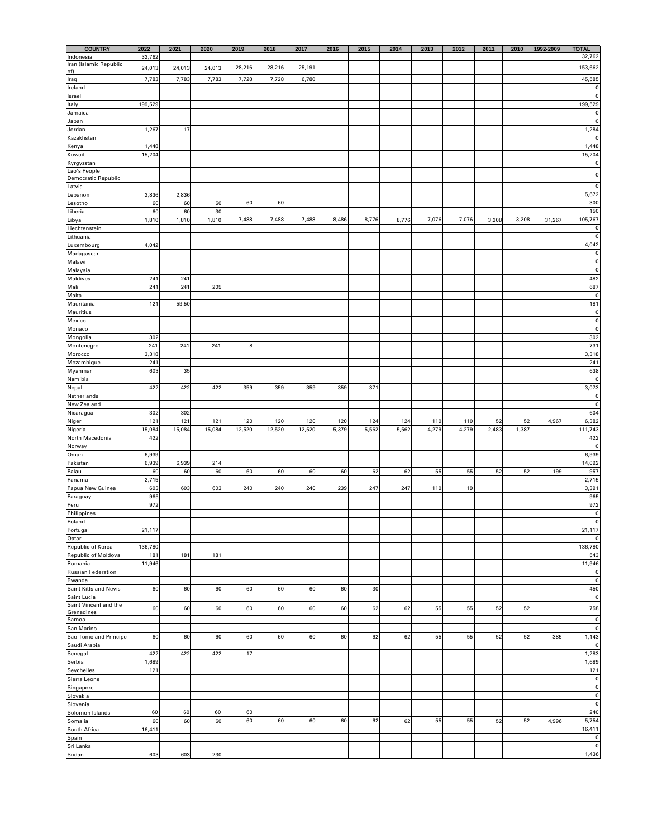| <b>COUNTRY</b>                        | 2022       | 2021   | 2020   | 2019   | 2018   | 2017   | 2016  | 2015  | 2014  | 2013  | 2012  | 2011  | 2010  | 1992-2009 | <b>TOTAL</b>             |
|---------------------------------------|------------|--------|--------|--------|--------|--------|-------|-------|-------|-------|-------|-------|-------|-----------|--------------------------|
| Indonesia                             | 32,762     |        |        |        |        |        |       |       |       |       |       |       |       |           | 32,762                   |
| Iran (Islamic Republic<br>of)         | 24,013     | 24,013 | 24,013 | 28,216 | 28,216 | 25,191 |       |       |       |       |       |       |       |           | 153,662                  |
| Iraq                                  | 7,783      | 7,783  | 7,783  | 7,728  | 7,728  | 6,780  |       |       |       |       |       |       |       |           | 45,585                   |
| Ireland                               |            |        |        |        |        |        |       |       |       |       |       |       |       |           | $\mathbf 0$              |
| Israel                                |            |        |        |        |        |        |       |       |       |       |       |       |       |           | $\mathbf 0$              |
| Italy                                 | 199,529    |        |        |        |        |        |       |       |       |       |       |       |       |           | 199,529                  |
| Jamaica                               |            |        |        |        |        |        |       |       |       |       |       |       |       |           | $\mathbf 0$              |
| Japan                                 |            |        |        |        |        |        |       |       |       |       |       |       |       |           | $\mathbf 0$              |
| Jordan                                | 1,267      | 17     |        |        |        |        |       |       |       |       |       |       |       |           | 1,284                    |
| Kazakhstan                            |            |        |        |        |        |        |       |       |       |       |       |       |       |           | $\mathbf 0$              |
| Kenya                                 | 1,448      |        |        |        |        |        |       |       |       |       |       |       |       |           | 1,448                    |
| Kuwait                                | 15,204     |        |        |        |        |        |       |       |       |       |       |       |       |           | 15,204                   |
| Kyrgyzstan                            |            |        |        |        |        |        |       |       |       |       |       |       |       |           | $\mathbf 0$              |
| Lao's People                          |            |        |        |        |        |        |       |       |       |       |       |       |       |           | $\mathbf 0$              |
| Democratic Republic<br>Latvia         |            |        |        |        |        |        |       |       |       |       |       |       |       |           | $\mathbf 0$              |
| Lebanon                               | 2,836      | 2,836  |        |        |        |        |       |       |       |       |       |       |       |           | 5,672                    |
| Lesotho                               | 60         | 60     | 60     | 60     | 60     |        |       |       |       |       |       |       |       |           | 300                      |
| Liberia                               | 60         | 60     | 30     |        |        |        |       |       |       |       |       |       |       |           | 150                      |
| Libya                                 | 1,810      | 1,810  | 1,810  | 7,488  | 7,488  | 7,488  | 8,486 | 8,776 | 8,776 | 7,076 | 7,076 | 3,208 | 3,208 | 31,267    | 105,767                  |
| Liechtenstein                         |            |        |        |        |        |        |       |       |       |       |       |       |       |           | $\mathbf 0$              |
| Lithuania                             |            |        |        |        |        |        |       |       |       |       |       |       |       |           | $\mathbf 0$              |
| Luxembourg                            | 4,042      |        |        |        |        |        |       |       |       |       |       |       |       |           | 4,042                    |
| Madagascar                            |            |        |        |        |        |        |       |       |       |       |       |       |       |           | $\mathbf 0$              |
| Malawi                                |            |        |        |        |        |        |       |       |       |       |       |       |       |           | $\mathbf 0$              |
| Malaysia                              |            |        |        |        |        |        |       |       |       |       |       |       |       |           | $\pmb{0}$                |
| Maldives                              | 241        | 241    |        |        |        |        |       |       |       |       |       |       |       |           | 482                      |
| Mali                                  | 241        | 241    | 205    |        |        |        |       |       |       |       |       |       |       |           | 687                      |
| Malta                                 |            |        |        |        |        |        |       |       |       |       |       |       |       |           | $\pmb{0}$                |
| Mauritania                            | 121        | 59.50  |        |        |        |        |       |       |       |       |       |       |       |           | 181                      |
| Mauritius                             |            |        |        |        |        |        |       |       |       |       |       |       |       |           | $\pmb{0}$                |
| Mexico                                |            |        |        |        |        |        |       |       |       |       |       |       |       |           | $\pmb{0}$                |
| Monaco                                |            |        |        |        |        |        |       |       |       |       |       |       |       |           | $\pmb{0}$                |
| Mongolia                              | 302        |        |        |        |        |        |       |       |       |       |       |       |       |           | 302                      |
| Montenegro                            | 241        | 241    | 241    | $\bf8$ |        |        |       |       |       |       |       |       |       |           | 731                      |
| Morocco                               | 3,318      |        |        |        |        |        |       |       |       |       |       |       |       |           | 3,318<br>241             |
| Mozambique<br>Myanmar                 | 241<br>603 | 35     |        |        |        |        |       |       |       |       |       |       |       |           | 638                      |
| Namibia                               |            |        |        |        |        |        |       |       |       |       |       |       |       |           | $\mathbf 0$              |
| Nepal                                 | 422        | 422    | 422    | 359    | 359    | 359    | 359   | 371   |       |       |       |       |       |           | 3,073                    |
| Netherlands                           |            |        |        |        |        |        |       |       |       |       |       |       |       |           | $\mathbf 0$              |
| New Zealand                           |            |        |        |        |        |        |       |       |       |       |       |       |       |           | $\mathbf 0$              |
| Nicaragua                             | 302        | 302    |        |        |        |        |       |       |       |       |       |       |       |           | 604                      |
| Niger                                 | 121        | 121    | 121    | 120    | 120    | 120    | 120   | 124   | 124   | 110   | 110   | 52    | 52    | 4,967     | 6,382                    |
| Nigeria                               | 15,084     | 15,084 | 15,084 | 12,520 | 12,520 | 12,520 | 5,379 | 5,562 | 5,562 | 4,279 | 4,279 | 2,483 | 1,387 |           | 111,743                  |
| North Macedonia                       | 422        |        |        |        |        |        |       |       |       |       |       |       |       |           | 422                      |
| Norway                                |            |        |        |        |        |        |       |       |       |       |       |       |       |           | $\mathbf 0$              |
| Oman                                  | 6,939      |        |        |        |        |        |       |       |       |       |       |       |       |           | 6,939                    |
| Pakistan                              | 6,939      | 6,939  | 214    |        |        |        |       |       |       |       |       |       |       |           | 14,092                   |
| Palau                                 | 60         | 60     | 60     | 60     | 60     | 60     | 60    | 62    | 62    | 55    | 55    | 52    | 52    | 199       | 957                      |
| Panama                                | 2,715      |        |        |        |        |        |       |       |       |       |       |       |       |           | 2,715                    |
| Papua New Guinea                      | 603        | 603    | 603    | 240    | 240    | 240    | 239   | 247   | 247   | 110   | 19    |       |       |           | 3,391                    |
| Paraguay                              | 965        |        |        |        |        |        |       |       |       |       |       |       |       |           | 965                      |
| Peru                                  | 972        |        |        |        |        |        |       |       |       |       |       |       |       |           | 972<br>$\pmb{0}$         |
| Philippines                           |            |        |        |        |        |        |       |       |       |       |       |       |       |           | 0                        |
| Poland                                | 21,117     |        |        |        |        |        |       |       |       |       |       |       |       |           | 21,117                   |
| Portugal<br>Qatar                     |            |        |        |        |        |        |       |       |       |       |       |       |       |           | $\mathbf 0$              |
| Republic of Korea                     | 136,780    |        |        |        |        |        |       |       |       |       |       |       |       |           | 136,780                  |
| Republic of Moldova                   | 181        | 181    | 181    |        |        |        |       |       |       |       |       |       |       |           | 543                      |
| Romania                               | 11,946     |        |        |        |        |        |       |       |       |       |       |       |       |           | 11,946                   |
| <b>Russian Federation</b>             |            |        |        |        |        |        |       |       |       |       |       |       |       |           | $\mathbf 0$              |
| Rwanda                                |            |        |        |        |        |        |       |       |       |       |       |       |       |           | $\pmb{0}$                |
| Saint Kitts and Nevis                 | 60         | 60     | 60     | 60     | 60     | 60     | 60    | 30    |       |       |       |       |       |           | 450                      |
| Saint Lucia                           |            |        |        |        |        |        |       |       |       |       |       |       |       |           | $\mathbf 0$              |
| Saint Vincent and the                 | 60         | 60     | 60     | 60     | 60     | 60     | 60    | 62    | 62    | 55    | 55    | 52    | 52    |           | 758                      |
| Grenadines                            |            |        |        |        |        |        |       |       |       |       |       |       |       |           |                          |
| Samoa                                 |            |        |        |        |        |        |       |       |       |       |       |       |       |           | $\mathbf 0$<br>$\pmb{0}$ |
| San Marino                            | 60         | 60     |        |        | 60     |        | 60    |       |       |       |       |       |       |           |                          |
| Sao Tome and Principe<br>Saudi Arabia |            |        | 60     | 60     |        | 60     |       | 62    | 62    | 55    | 55    | 52    | 52    | 385       | 1,143<br>$\pmb{0}$       |
|                                       | 422        | 422    | 422    | 17     |        |        |       |       |       |       |       |       |       |           | 1,283                    |
| Senegal<br>Serbia                     | 1,689      |        |        |        |        |        |       |       |       |       |       |       |       |           | 1,689                    |
| Seychelles                            | 121        |        |        |        |        |        |       |       |       |       |       |       |       |           | 121                      |
| Sierra Leone                          |            |        |        |        |        |        |       |       |       |       |       |       |       |           | $\mathbf 0$              |
| Singapore                             |            |        |        |        |        |        |       |       |       |       |       |       |       |           | $\mathbf 0$              |
| Slovakia                              |            |        |        |        |        |        |       |       |       |       |       |       |       |           | $\pmb{0}$                |
| Slovenia                              |            |        |        |        |        |        |       |       |       |       |       |       |       |           | $\mathbf 0$              |
| Solomon Islands                       | 60         | 60     | 60     | 60     |        |        |       |       |       |       |       |       |       |           | 240                      |
| Somalia                               | 60         | 60     | 60     | 60     | 60     | 60     | 60    | 62    | 62    | 55    | 55    | 52    | 52    | 4,996     | 5,754                    |
| South Africa                          | 16,411     |        |        |        |        |        |       |       |       |       |       |       |       |           | 16,411                   |
| Spain                                 |            |        |        |        |        |        |       |       |       |       |       |       |       |           | $\mathbf 0$              |
| Sri Lanka                             |            |        |        |        |        |        |       |       |       |       |       |       |       |           | $\mathbf 0$              |
| Sudan                                 | 603        | 603    | 230    |        |        |        |       |       |       |       |       |       |       |           | 1,436                    |